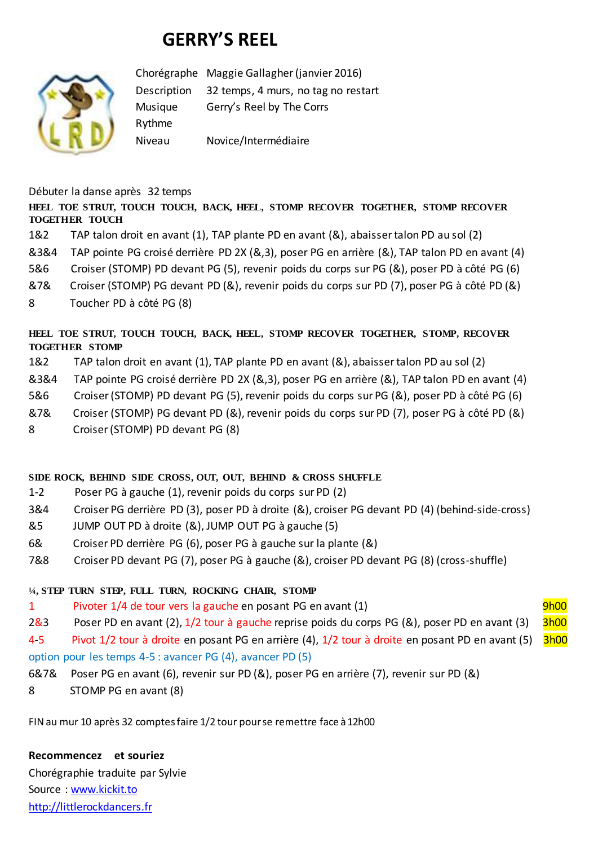# **GERRY'S REEL**



Chorégraphe Maggie Gallagher (janvier 2016) Description 32 temps, 4 murs, no tag no restart Musique Gerry's Reel by The Corrs Rythme Niveau Novice/Intermédiaire

Débuter la danse après 32 temps

#### **HEEL TOE STRUT, TOUCH TOUCH, BACK, HEEL, STOMP RECOVER TOGETHER, STOMP RECOVER TOGETHER TOUCH**

- 1&2 TAP talon droit en avant (1), TAP plante PD en avant (&), abaisser talon PD au sol (2)
- &3&4 TAP pointe PG croisé derrière PD 2X (&,3), poser PG en arrière (&), TAP talon PD en avant (4)
- 5&6 Croiser (STOMP) PD devant PG (5), revenir poids du corps sur PG (&), poser PD à côté PG (6)
- &7& Croiser (STOMP) PG devant PD (&), revenir poids du corps sur PD (7), poser PG à côté PD (&)
- 8 Toucher PD à côté PG (8)

### **HEEL TOE STRUT, TOUCH TOUCH, BACK, HEEL, STOMP RECOVER TOGETHER, STOMP, RECOVER TOGETHER STOMP**

- 1&2 TAP talon droit en avant (1), TAP plante PD en avant (&), abaisser talon PD au sol (2)
- &3&4 TAP pointe PG croisé derrière PD 2X (&,3), poser PG en arrière (&), TAP talon PD en avant (4)
- 5&6 Croiser (STOMP) PD devant PG (5), revenir poids du corps sur PG (&), poser PD à côté PG (6)
- &7& Croiser (STOMP) PG devant PD (&), revenir poids du corps sur PD (7), poser PG à côté PD (&)
- 8 Croiser (STOMP) PD devant PG (8)

#### **SIDE ROCK, BEHIND SIDE CROSS, OUT, OUT, BEHIND & CROSS SHUFFLE**

- 1-2 Poser PG à gauche (1), revenir poids du corps sur PD (2)
- 3&4 Croiser PG derrière PD (3), poser PD à droite (&), croiser PG devant PD (4) (behind-side-cross)
- &5 JUMP OUT PD à droite (&), JUMP OUT PG à gauche (5)
- 6& Croiser PD derrière PG (6), poser PG à gauche sur la plante (&)
- 7&8 Croiser PD devant PG (7), poser PG à gauche (&), croiser PD devant PG (8) (cross-shuffle)

## **¼, STEP TURN STEP, FULL TURN, ROCKING CHAIR, STOMP**

- 1 Pivoter 1/4 de tour vers la gauche en posant PG en avant (1) Phone 19h00
- 2&3 Poser PD en avant (2), 1/2 tour à gauche reprise poids du corps PG (&), poser PD en avant (3) 3h00
- 4-5 Pivot 1/2 tour à droite en posant PG en arrière (4), 1/2 tour à droite en posant PD en avant (5) 3h00 option pour les temps 4-5 : avancer PG (4), avancer PD (5)
- 6&7& Poser PG en avant (6), revenir sur PD (&), poser PG en arrière (7), revenir sur PD (&)
- 8 STOMP PG en avant (8)

FIN au mur 10 après 32 comptes faire 1/2 tour pour se remettre face à 12h00

#### **Recommencez et souriez**

Chorégraphie traduite par Sylvie Source : [www.kickit.to](http://www.kickit.to/) [http://littlerockdancers.fr](http://littlerockdancers.fr/)